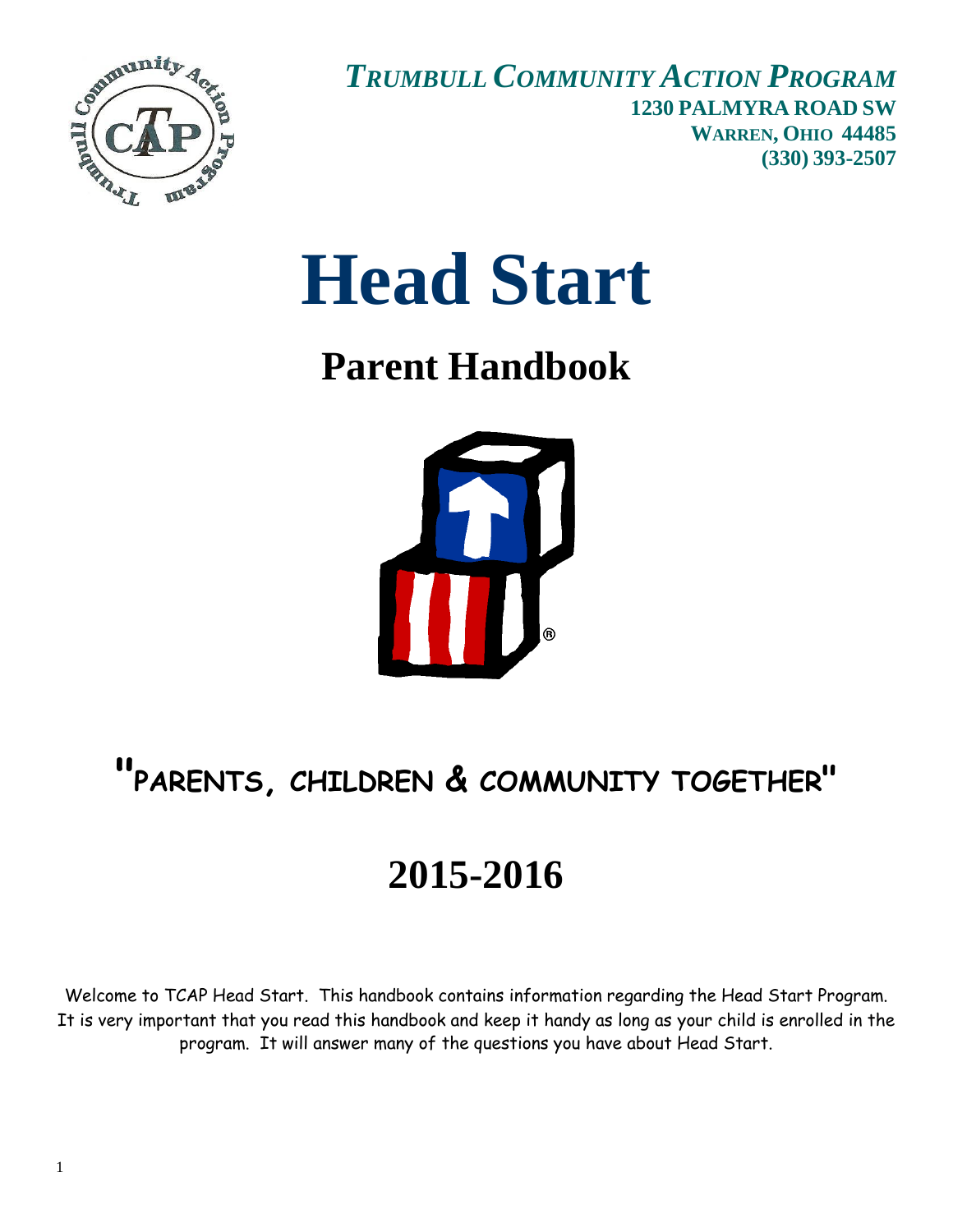

*TRUMBULL COMMUNITY ACTION PROGRAM* **1230 PALMYRA ROAD SW WARREN, OHIO 44485 (330) 393-2507**

# **Head Start**

# **Parent Handbook**



# **"PARENTS, CHILDREN & COMMUNITY TOGETHER"**

# **2015-2016**

Welcome to TCAP Head Start. This handbook contains information regarding the Head Start Program. It is very important that you read this handbook and keep it handy as long as your child is enrolled in the program. It will answer many of the questions you have about Head Start.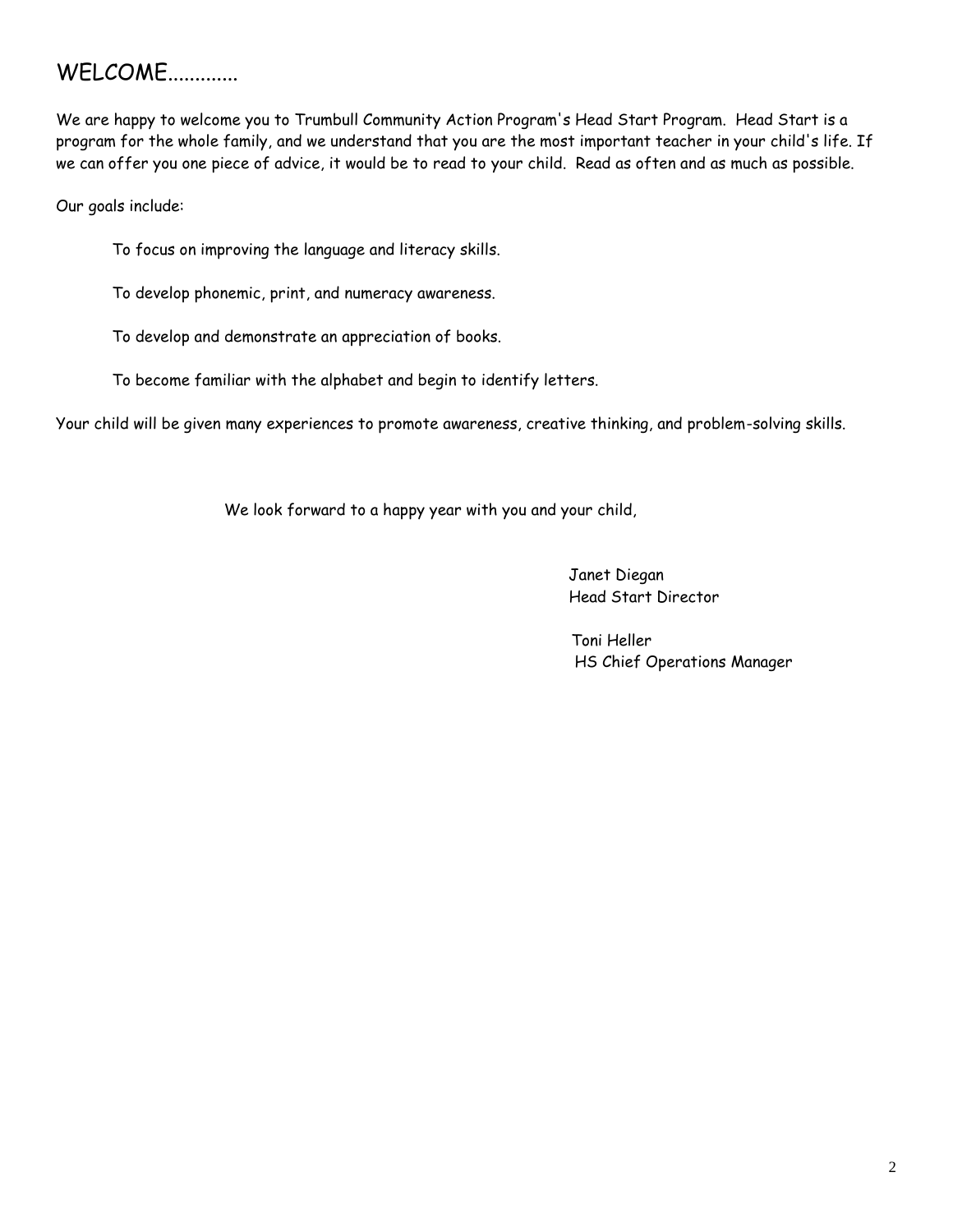# WELCOME............

We are happy to welcome you to Trumbull Community Action Program's Head Start Program. Head Start is a program for the whole family, and we understand that you are the most important teacher in your child's life. If we can offer you one piece of advice, it would be to read to your child. Read as often and as much as possible.

Our goals include:

To focus on improving the language and literacy skills.

To develop phonemic, print, and numeracy awareness.

To develop and demonstrate an appreciation of books.

To become familiar with the alphabet and begin to identify letters.

Your child will be given many experiences to promote awareness, creative thinking, and problem-solving skills.

We look forward to a happy year with you and your child,

 Janet Diegan Head Start Director

 Toni Heller HS Chief Operations Manager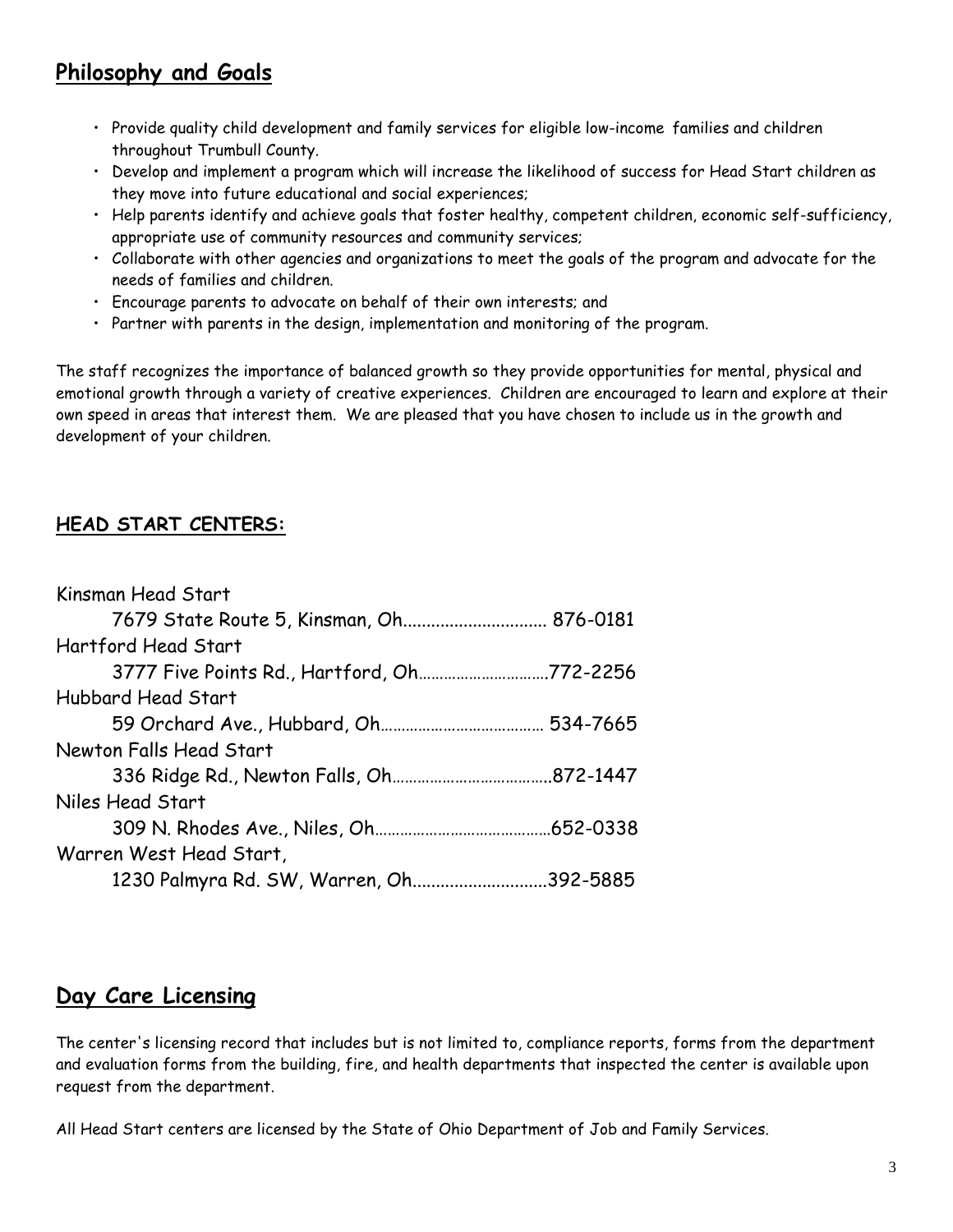# **Philosophy and Goals**

- Provide quality child development and family services for eligible low-income families and children throughout Trumbull County.
- Develop and implement a program which will increase the likelihood of success for Head Start children as they move into future educational and social experiences;
- Help parents identify and achieve goals that foster healthy, competent children, economic self-sufficiency, appropriate use of community resources and community services;
- Collaborate with other agencies and organizations to meet the goals of the program and advocate for the needs of families and children.
- Encourage parents to advocate on behalf of their own interests; and
- Partner with parents in the design, implementation and monitoring of the program.

The staff recognizes the importance of balanced growth so they provide opportunities for mental, physical and emotional growth through a variety of creative experiences. Children are encouraged to learn and explore at their own speed in areas that interest them. We are pleased that you have chosen to include us in the growth and development of your children.

#### **HEAD START CENTERS:**

| Kinsman Head Start                         |  |
|--------------------------------------------|--|
| 7679 State Route 5, Kinsman, Oh 876-0181   |  |
| Hartford Head Start                        |  |
| 3777 Five Points Rd., Hartford, Oh772-2256 |  |
| Hubbard Head Start                         |  |
|                                            |  |
| Newton Falls Head Start                    |  |
|                                            |  |
| Niles Head Start                           |  |
|                                            |  |
| Warren West Head Start,                    |  |
| 1230 Palmyra Rd. SW, Warren, Oh392-5885    |  |

#### **Day Care Licensing**

The center's licensing record that includes but is not limited to, compliance reports, forms from the department and evaluation forms from the building, fire, and health departments that inspected the center is available upon request from the department.

All Head Start centers are licensed by the State of Ohio Department of Job and Family Services.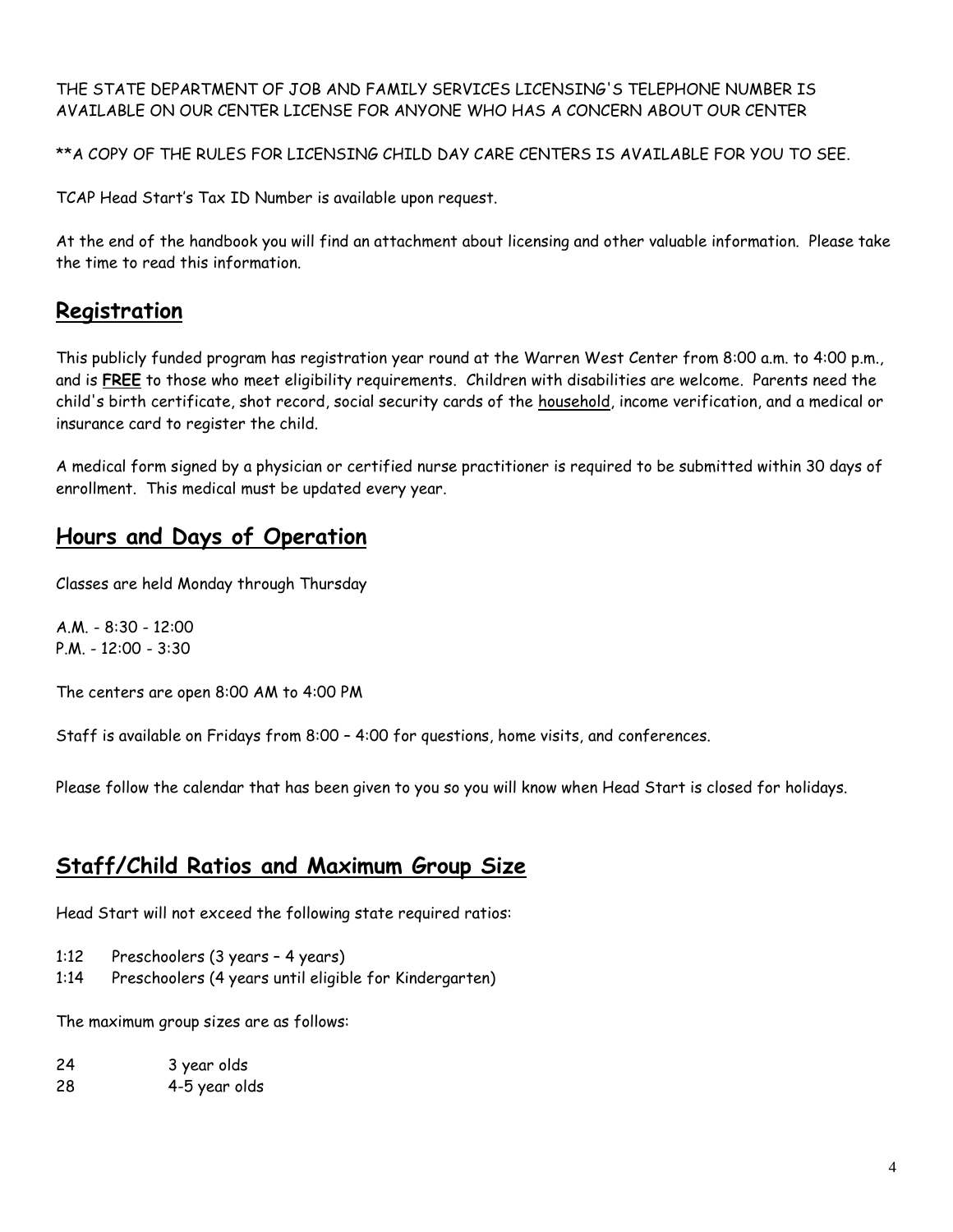#### THE STATE DEPARTMENT OF JOB AND FAMILY SERVICES LICENSING'S TELEPHONE NUMBER IS AVAILABLE ON OUR CENTER LICENSE FOR ANYONE WHO HAS A CONCERN ABOUT OUR CENTER

\*\*A COPY OF THE RULES FOR LICENSING CHILD DAY CARE CENTERS IS AVAILABLE FOR YOU TO SEE.

TCAP Head Start's Tax ID Number is available upon request.

At the end of the handbook you will find an attachment about licensing and other valuable information. Please take the time to read this information.

#### **Registration**

This publicly funded program has registration year round at the Warren West Center from 8:00 a.m. to 4:00 p.m., and is **FREE** to those who meet eligibility requirements. Children with disabilities are welcome. Parents need the child's birth certificate, shot record, social security cards of the household, income verification, and a medical or insurance card to register the child.

A medical form signed by a physician or certified nurse practitioner is required to be submitted within 30 days of enrollment. This medical must be updated every year.

#### **Hours and Days of Operation**

Classes are held Monday through Thursday

A.M. - 8:30 - 12:00 P.M. - 12:00 - 3:30

The centers are open 8:00 AM to 4:00 PM

Staff is available on Fridays from 8:00 – 4:00 for questions, home visits, and conferences.

Please follow the calendar that has been given to you so you will know when Head Start is closed for holidays.

#### **Staff/Child Ratios and Maximum Group Size**

Head Start will not exceed the following state required ratios:

- 1:12 Preschoolers (3 years 4 years)
- 1:14 Preschoolers (4 years until eligible for Kindergarten)

The maximum group sizes are as follows:

24 3 year olds 28 4-5 year olds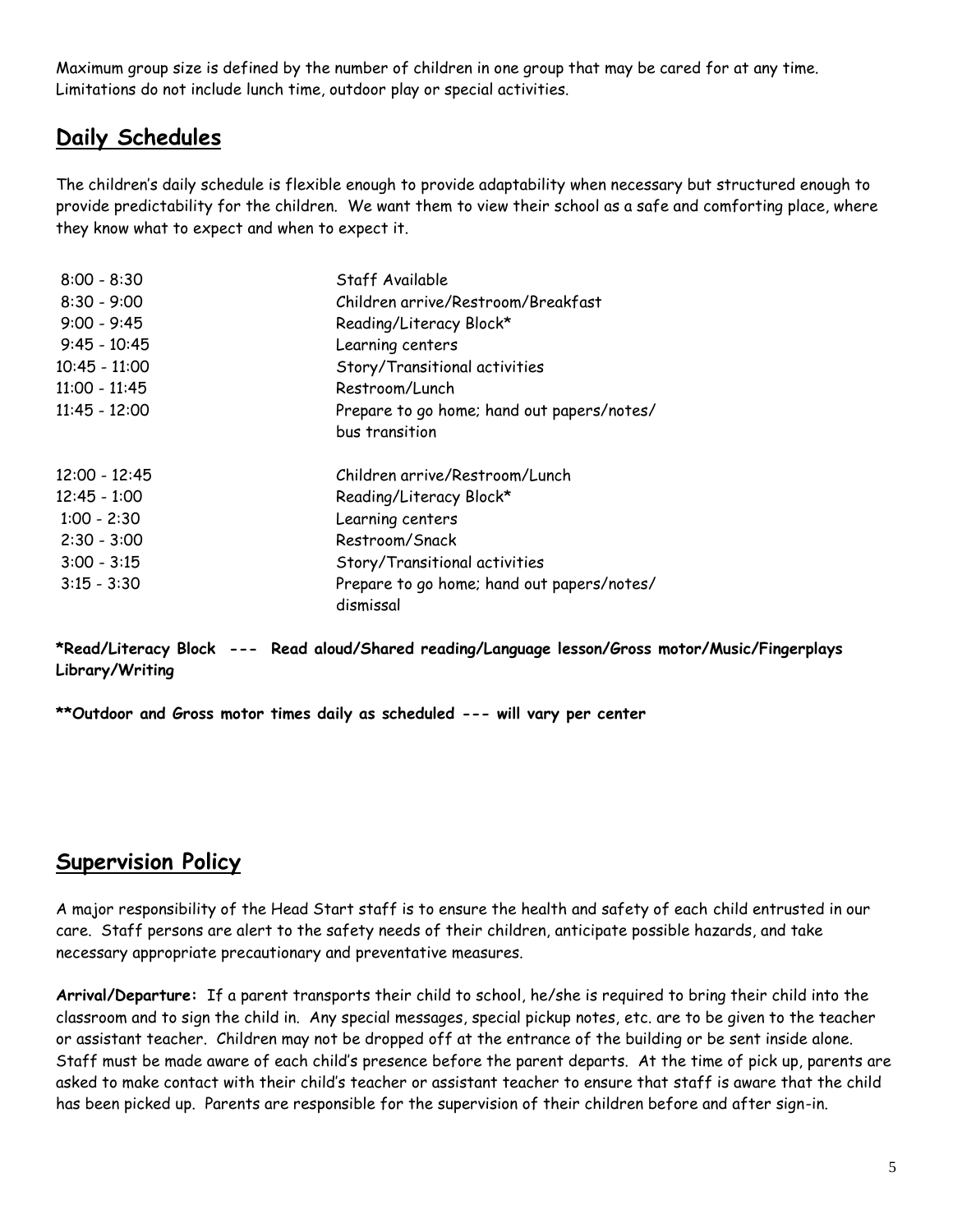Maximum group size is defined by the number of children in one group that may be cared for at any time. Limitations do not include lunch time, outdoor play or special activities.

#### **Daily Schedules**

The children's daily schedule is flexible enough to provide adaptability when necessary but structured enough to provide predictability for the children. We want them to view their school as a safe and comforting place, where they know what to expect and when to expect it.

| $8:00 - 8:30$   | Staff Available                            |  |
|-----------------|--------------------------------------------|--|
| $8:30 - 9:00$   | Children arrive/Restroom/Breakfast         |  |
| $9:00 - 9:45$   | Reading/Literacy Block*                    |  |
| $9:45 - 10:45$  | Learning centers                           |  |
| $10:45 - 11:00$ | Story/Transitional activities              |  |
| $11:00 - 11:45$ | Restroom/Lunch                             |  |
| $11:45 - 12:00$ | Prepare to go home; hand out papers/notes/ |  |
|                 | bus transition                             |  |
| $12:00 - 12:45$ | Children arrive/Restroom/Lunch             |  |
| 12:45 - 1:00    | Reading/Literacy Block*                    |  |
| $1:00 - 2:30$   | Learning centers                           |  |
| $2:30 - 3:00$   | Restroom/Snack                             |  |
| $3:00 - 3:15$   | Story/Transitional activities              |  |
| $3:15 - 3:30$   | Prepare to go home; hand out papers/notes/ |  |
|                 | dismissal                                  |  |

**\*Read/Literacy Block --- Read aloud/Shared reading/Language lesson/Gross motor/Music/Fingerplays Library/Writing**

**\*\*Outdoor and Gross motor times daily as scheduled --- will vary per center**

#### **Supervision Policy**

A major responsibility of the Head Start staff is to ensure the health and safety of each child entrusted in our care. Staff persons are alert to the safety needs of their children, anticipate possible hazards, and take necessary appropriate precautionary and preventative measures.

**Arrival/Departure:** If a parent transports their child to school, he/she is required to bring their child into the classroom and to sign the child in. Any special messages, special pickup notes, etc. are to be given to the teacher or assistant teacher. Children may not be dropped off at the entrance of the building or be sent inside alone. Staff must be made aware of each child's presence before the parent departs. At the time of pick up, parents are asked to make contact with their child's teacher or assistant teacher to ensure that staff is aware that the child has been picked up. Parents are responsible for the supervision of their children before and after sign-in.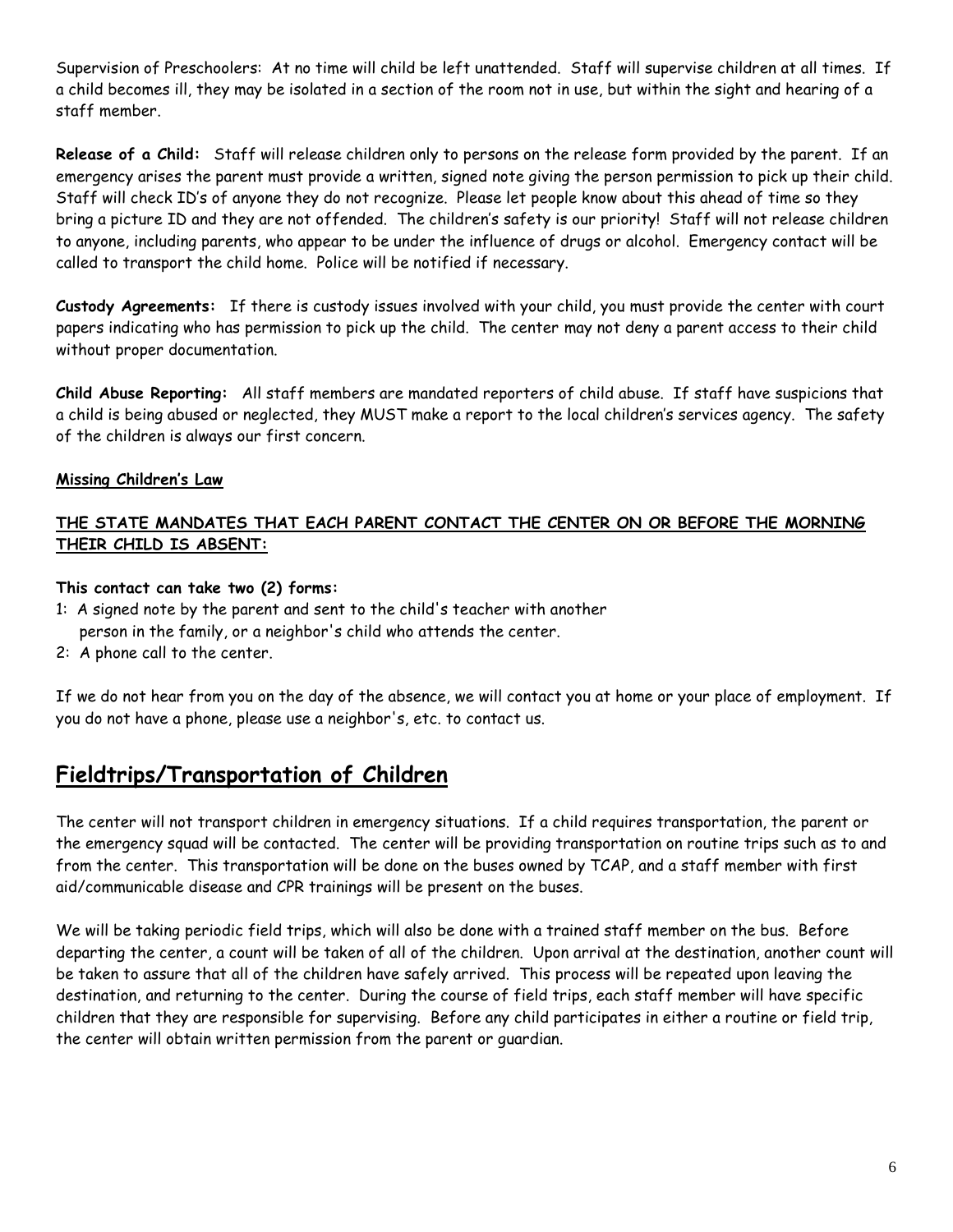Supervision of Preschoolers: At no time will child be left unattended. Staff will supervise children at all times. If a child becomes ill, they may be isolated in a section of the room not in use, but within the sight and hearing of a staff member.

**Release of a Child:** Staff will release children only to persons on the release form provided by the parent. If an emergency arises the parent must provide a written, signed note giving the person permission to pick up their child. Staff will check ID's of anyone they do not recognize. Please let people know about this ahead of time so they bring a picture ID and they are not offended. The children's safety is our priority! Staff will not release children to anyone, including parents, who appear to be under the influence of drugs or alcohol. Emergency contact will be called to transport the child home. Police will be notified if necessary.

**Custody Agreements:** If there is custody issues involved with your child, you must provide the center with court papers indicating who has permission to pick up the child. The center may not deny a parent access to their child without proper documentation.

**Child Abuse Reporting:** All staff members are mandated reporters of child abuse. If staff have suspicions that a child is being abused or neglected, they MUST make a report to the local children's services agency. The safety of the children is always our first concern.

#### **Missing Children's Law**

#### **THE STATE MANDATES THAT EACH PARENT CONTACT THE CENTER ON OR BEFORE THE MORNING THEIR CHILD IS ABSENT:**

#### **This contact can take two (2) forms:**

- 1: A signed note by the parent and sent to the child's teacher with another
- person in the family, or a neighbor's child who attends the center.
- 2: A phone call to the center.

If we do not hear from you on the day of the absence, we will contact you at home or your place of employment. If you do not have a phone, please use a neighbor's, etc. to contact us.

#### **Fieldtrips/Transportation of Children**

The center will not transport children in emergency situations. If a child requires transportation, the parent or the emergency squad will be contacted. The center will be providing transportation on routine trips such as to and from the center. This transportation will be done on the buses owned by TCAP, and a staff member with first aid/communicable disease and CPR trainings will be present on the buses.

We will be taking periodic field trips, which will also be done with a trained staff member on the bus. Before departing the center, a count will be taken of all of the children. Upon arrival at the destination, another count will be taken to assure that all of the children have safely arrived. This process will be repeated upon leaving the destination, and returning to the center. During the course of field trips, each staff member will have specific children that they are responsible for supervising. Before any child participates in either a routine or field trip, the center will obtain written permission from the parent or guardian.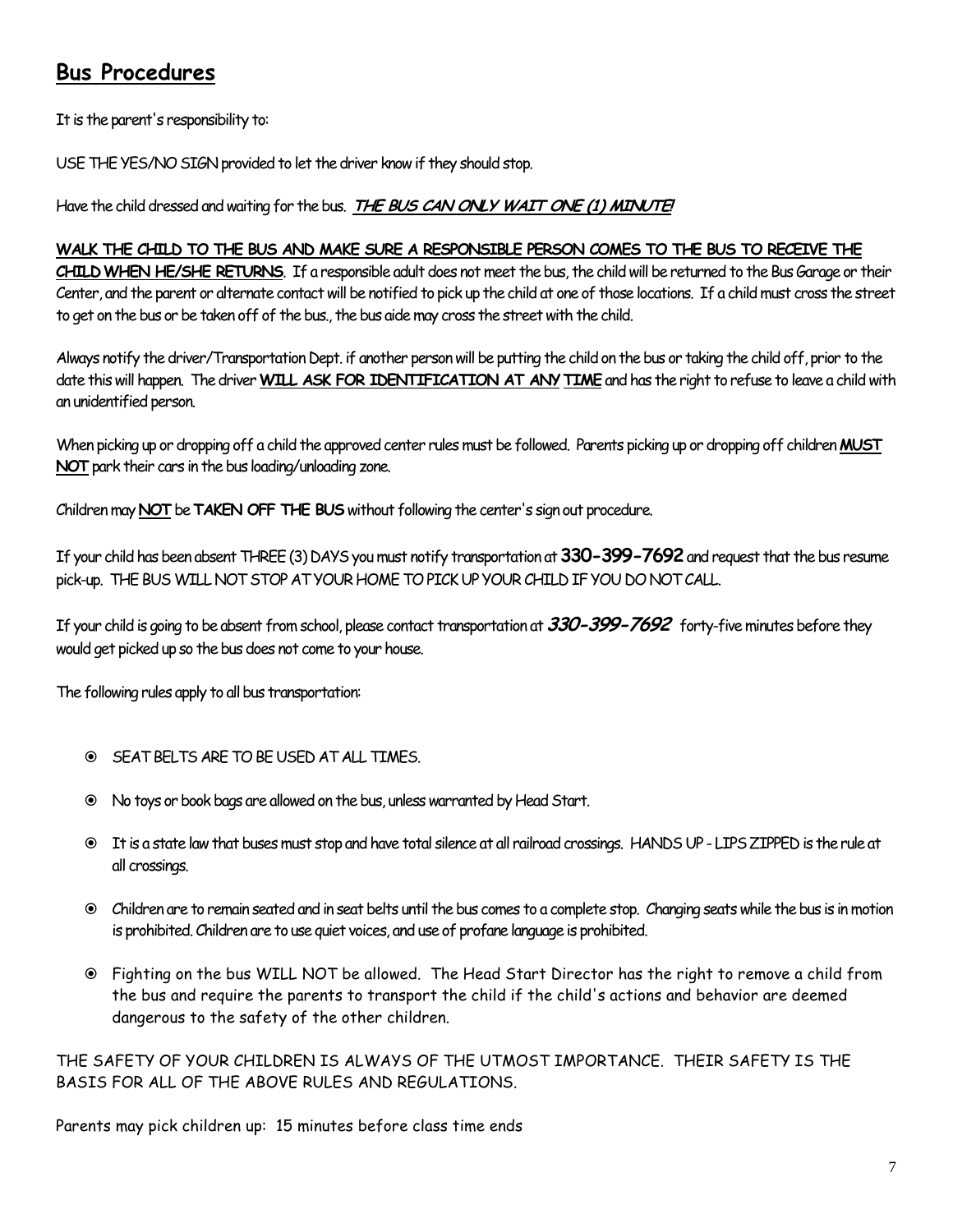#### **Bus Procedures**

It is the parent's responsibility to:

USE THE YES/NO SIGN provided to let the driver know if they should stop.

Have the child dressed and waiting for the bus. **THE BUS CAN ONLY WAIT ONE (1) MINUTE!**

#### **WALK THE CHILD TO THE BUS AND MAKE SURE A RESPONSIBLE PERSON COMES TO THE BUS TO RECEIVE THE**

**CHILDWHEN HE/SHE RETURNS**. If a responsible adult does not meet the bus, the child will be returned to the Bus Garage or their Center, and the parent or alternate contact will be notified to pick up the child at one of those locations. If a child must cross the street to get on the bus or be taken off of the bus., the bus aide may cross the street with the child.

Always notify the driver/Transportation Dept. if another person will be putting the child on the bus or taking the child off, prior to the date this will happen. The driver **WILL ASK FOR IDENTIFICATION AT ANYTIME** and has the right to refuse to leave a child with an unidentified person.

When picking up or dropping off a child the approved center rules must be followed. Parents picking up or dropping off children **MUST NOT**park their cars in the bus loading/unloading zone.

Children may **NOT**be **TAKEN OFF THE BUS**without following the center's sign out procedure.

If your child has been absent THREE (3) DAYS you must notify transportation at **330-399-7692**and request that the bus resume pick-up. THE BUS WILL NOT STOP AT YOUR HOME TO PICK UP YOUR CHILD IF YOU DO NOT CALL.

If your child is going to be absent from school, please contact transportation at **330-399-7692** forty-five minutes before they would get picked up so the bus does not come to your house.

The following rules apply to all bus transportation:

- SEAT BELTS ARE TO BE USED AT ALL TIMES.
- No toys or book bags are allowed on the bus, unless warranted by Head Start.
- It is a state law that buses must stop and have total silence at all railroad crossings. HANDS UP LIPS ZIPPED is the rule at all crossings.
- Children are to remain seated and in seat belts until the bus comes to a complete stop. Changing seats while the bus is in motion is prohibited. Children are to use quiet voices, and use of profane language is prohibited.
- Fighting on the bus WILL NOT be allowed. The Head Start Director has the right to remove a child from the bus and require the parents to transport the child if the child's actions and behavior are deemed dangerous to the safety of the other children.

THE SAFETY OF YOUR CHILDREN IS ALWAYS OF THE UTMOST IMPORTANCE. THEIR SAFETY IS THE BASIS FOR ALL OF THE ABOVE RULES AND REGULATIONS.

Parents may pick children up: 15 minutes before class time ends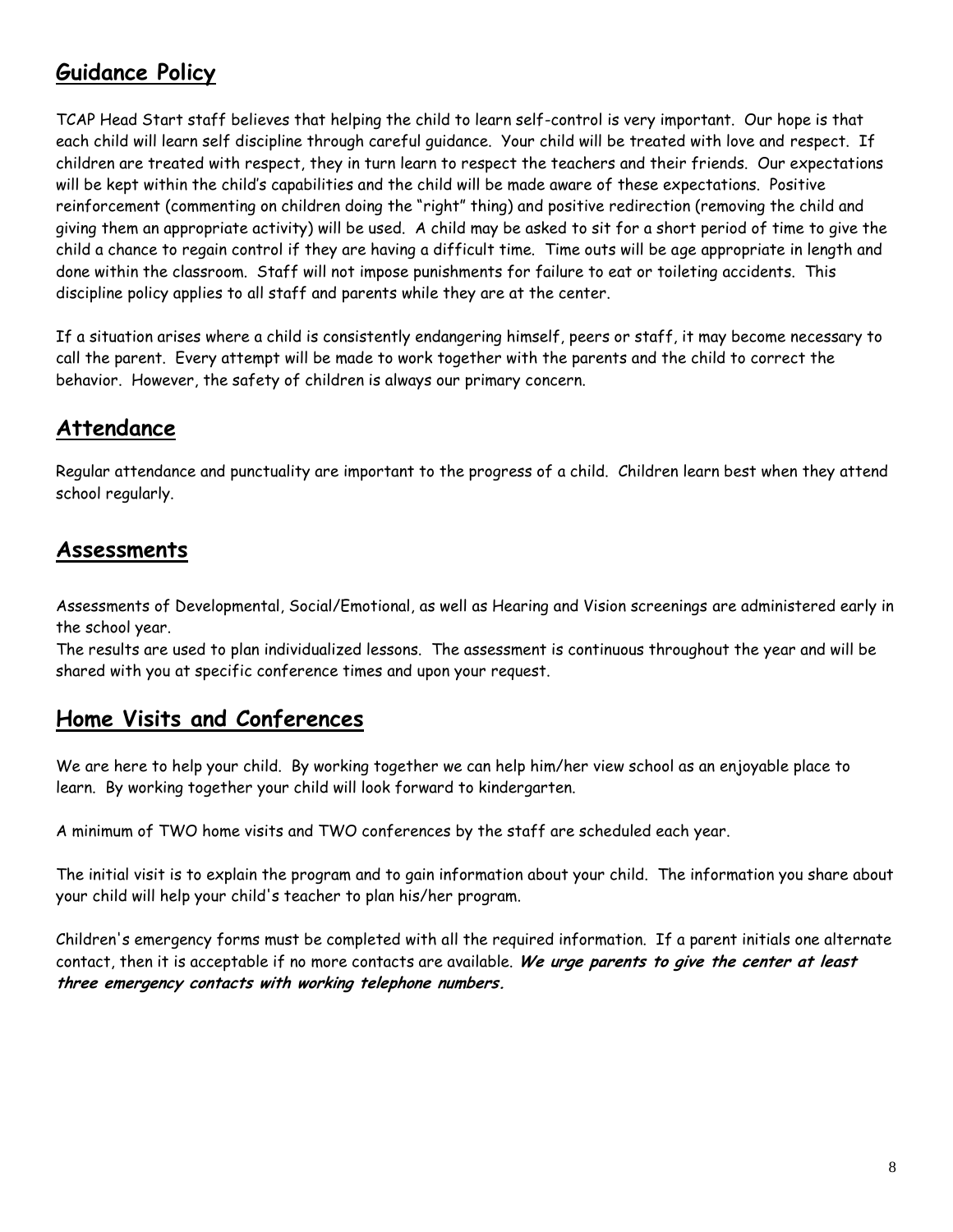### **Guidance Policy**

TCAP Head Start staff believes that helping the child to learn self-control is very important. Our hope is that each child will learn self discipline through careful guidance. Your child will be treated with love and respect. If children are treated with respect, they in turn learn to respect the teachers and their friends. Our expectations will be kept within the child's capabilities and the child will be made aware of these expectations. Positive reinforcement (commenting on children doing the "right" thing) and positive redirection (removing the child and giving them an appropriate activity) will be used. A child may be asked to sit for a short period of time to give the child a chance to regain control if they are having a difficult time. Time outs will be age appropriate in length and done within the classroom. Staff will not impose punishments for failure to eat or toileting accidents. This discipline policy applies to all staff and parents while they are at the center.

If a situation arises where a child is consistently endangering himself, peers or staff, it may become necessary to call the parent. Every attempt will be made to work together with the parents and the child to correct the behavior. However, the safety of children is always our primary concern.

#### **Attendance**

Regular attendance and punctuality are important to the progress of a child. Children learn best when they attend school regularly.

#### **Assessments**

Assessments of Developmental, Social/Emotional, as well as Hearing and Vision screenings are administered early in the school year.

The results are used to plan individualized lessons. The assessment is continuous throughout the year and will be shared with you at specific conference times and upon your request.

#### **Home Visits and Conferences**

We are here to help your child. By working together we can help him/her view school as an enjoyable place to learn. By working together your child will look forward to kindergarten.

A minimum of TWO home visits and TWO conferences by the staff are scheduled each year.

The initial visit is to explain the program and to gain information about your child. The information you share about your child will help your child's teacher to plan his/her program.

Children's emergency forms must be completed with all the required information. If a parent initials one alternate contact, then it is acceptable if no more contacts are available. **We urge parents to give the center at least three emergency contacts with working telephone numbers.**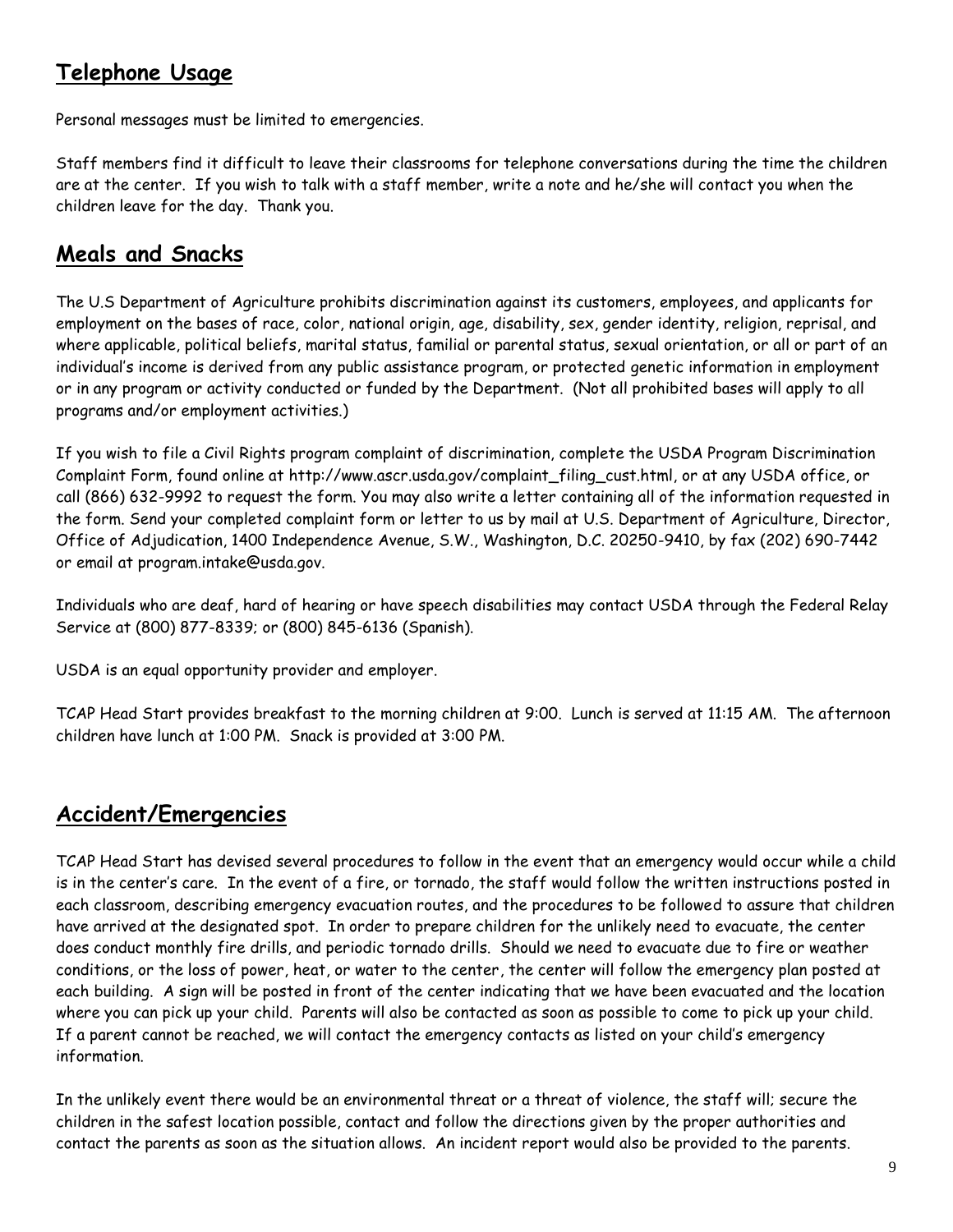## **Telephone Usage**

Personal messages must be limited to emergencies.

Staff members find it difficult to leave their classrooms for telephone conversations during the time the children are at the center. If you wish to talk with a staff member, write a note and he/she will contact you when the children leave for the day. Thank you.

#### **Meals and Snacks**

The U.S Department of Agriculture prohibits discrimination against its customers, employees, and applicants for employment on the bases of race, color, national origin, age, disability, sex, gender identity, religion, reprisal, and where applicable, political beliefs, marital status, familial or parental status, sexual orientation, or all or part of an individual's income is derived from any public assistance program, or protected genetic information in employment or in any program or activity conducted or funded by the Department. (Not all prohibited bases will apply to all programs and/or employment activities.)

If you wish to file a Civil Rights program complaint of discrimination, complete the USDA Program Discrimination Complaint Form, found online at http://www.ascr.usda.gov/complaint\_filing\_cust.html, or at any USDA office, or call (866) 632-9992 to request the form. You may also write a letter containing all of the information requested in the form. Send your completed complaint form or letter to us by mail at U.S. Department of Agriculture, Director, Office of Adjudication, 1400 Independence Avenue, S.W., Washington, D.C. 20250-9410, by fax (202) 690-7442 or email at program.intake@usda.gov.

Individuals who are deaf, hard of hearing or have speech disabilities may contact USDA through the Federal Relay Service at (800) 877-8339; or (800) 845-6136 (Spanish).

USDA is an equal opportunity provider and employer.

TCAP Head Start provides breakfast to the morning children at 9:00. Lunch is served at 11:15 AM. The afternoon children have lunch at 1:00 PM. Snack is provided at 3:00 PM.

#### **Accident/Emergencies**

TCAP Head Start has devised several procedures to follow in the event that an emergency would occur while a child is in the center's care. In the event of a fire, or tornado, the staff would follow the written instructions posted in each classroom, describing emergency evacuation routes, and the procedures to be followed to assure that children have arrived at the designated spot. In order to prepare children for the unlikely need to evacuate, the center does conduct monthly fire drills, and periodic tornado drills. Should we need to evacuate due to fire or weather conditions, or the loss of power, heat, or water to the center, the center will follow the emergency plan posted at each building. A sign will be posted in front of the center indicating that we have been evacuated and the location where you can pick up your child. Parents will also be contacted as soon as possible to come to pick up your child. If a parent cannot be reached, we will contact the emergency contacts as listed on your child's emergency information.

In the unlikely event there would be an environmental threat or a threat of violence, the staff will; secure the children in the safest location possible, contact and follow the directions given by the proper authorities and contact the parents as soon as the situation allows. An incident report would also be provided to the parents.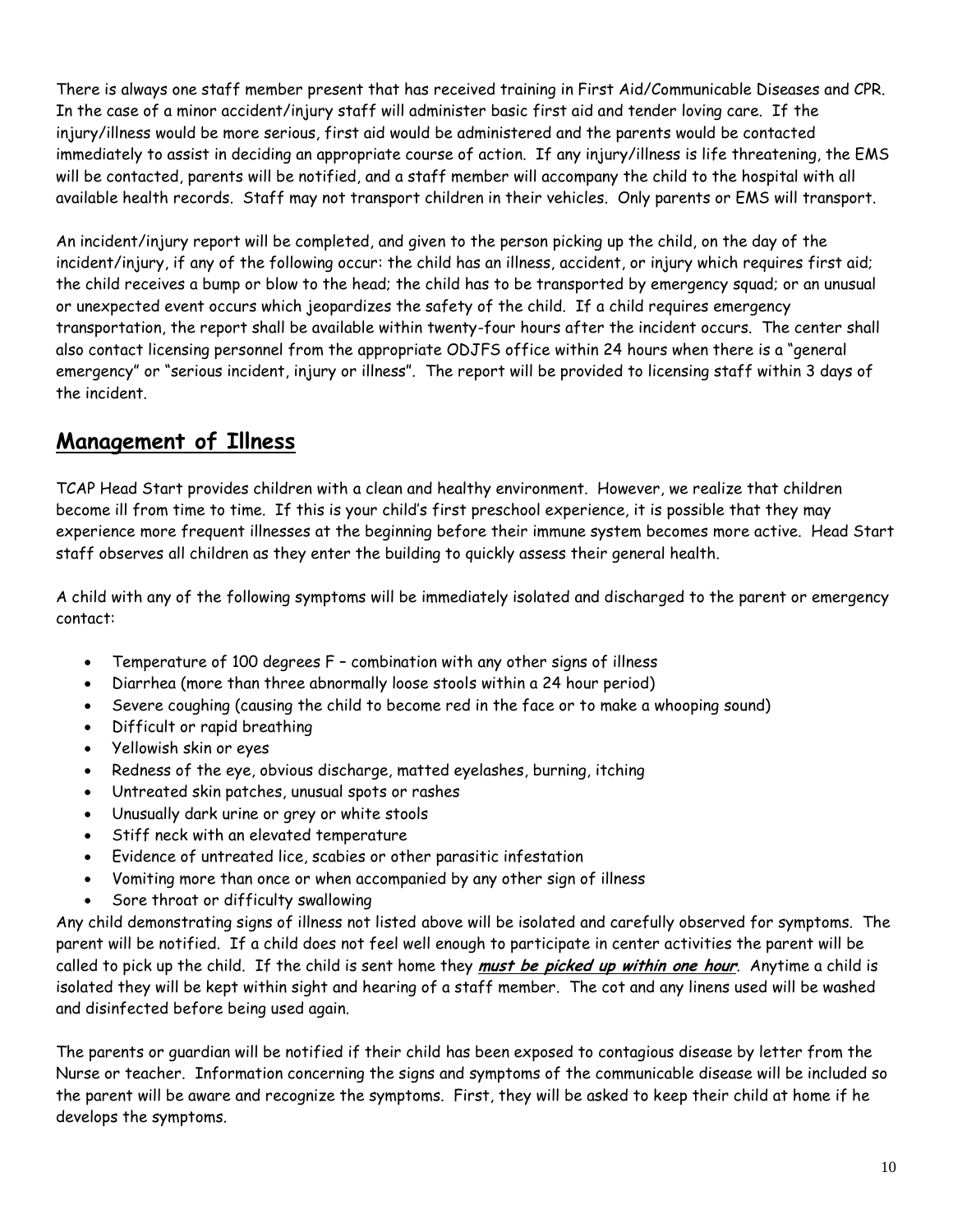There is always one staff member present that has received training in First Aid/Communicable Diseases and CPR. In the case of a minor accident/injury staff will administer basic first aid and tender loving care. If the injury/illness would be more serious, first aid would be administered and the parents would be contacted immediately to assist in deciding an appropriate course of action. If any injury/illness is life threatening, the EMS will be contacted, parents will be notified, and a staff member will accompany the child to the hospital with all available health records. Staff may not transport children in their vehicles. Only parents or EMS will transport.

An incident/injury report will be completed, and given to the person picking up the child, on the day of the incident/injury, if any of the following occur: the child has an illness, accident, or injury which requires first aid; the child receives a bump or blow to the head; the child has to be transported by emergency squad; or an unusual or unexpected event occurs which jeopardizes the safety of the child. If a child requires emergency transportation, the report shall be available within twenty-four hours after the incident occurs. The center shall also contact licensing personnel from the appropriate ODJFS office within 24 hours when there is a "general emergency" or "serious incident, injury or illness". The report will be provided to licensing staff within 3 days of the incident.

## **Management of Illness**

TCAP Head Start provides children with a clean and healthy environment. However, we realize that children become ill from time to time. If this is your child's first preschool experience, it is possible that they may experience more frequent illnesses at the beginning before their immune system becomes more active. Head Start staff observes all children as they enter the building to quickly assess their general health.

A child with any of the following symptoms will be immediately isolated and discharged to the parent or emergency contact:

- Temperature of 100 degrees F combination with any other signs of illness
- Diarrhea (more than three abnormally loose stools within a 24 hour period)
- Severe coughing (causing the child to become red in the face or to make a whooping sound)
- Difficult or rapid breathing
- Yellowish skin or eyes
- Redness of the eye, obvious discharge, matted eyelashes, burning, itching
- Untreated skin patches, unusual spots or rashes
- Unusually dark urine or grey or white stools
- Stiff neck with an elevated temperature
- Evidence of untreated lice, scabies or other parasitic infestation
- Vomiting more than once or when accompanied by any other sign of illness
- Sore throat or difficulty swallowing

Any child demonstrating signs of illness not listed above will be isolated and carefully observed for symptoms. The parent will be notified. If a child does not feel well enough to participate in center activities the parent will be called to pick up the child. If the child is sent home they **must be picked up within one hour**. Anytime a child is isolated they will be kept within sight and hearing of a staff member. The cot and any linens used will be washed and disinfected before being used again.

The parents or guardian will be notified if their child has been exposed to contagious disease by letter from the Nurse or teacher. Information concerning the signs and symptoms of the communicable disease will be included so the parent will be aware and recognize the symptoms. First, they will be asked to keep their child at home if he develops the symptoms.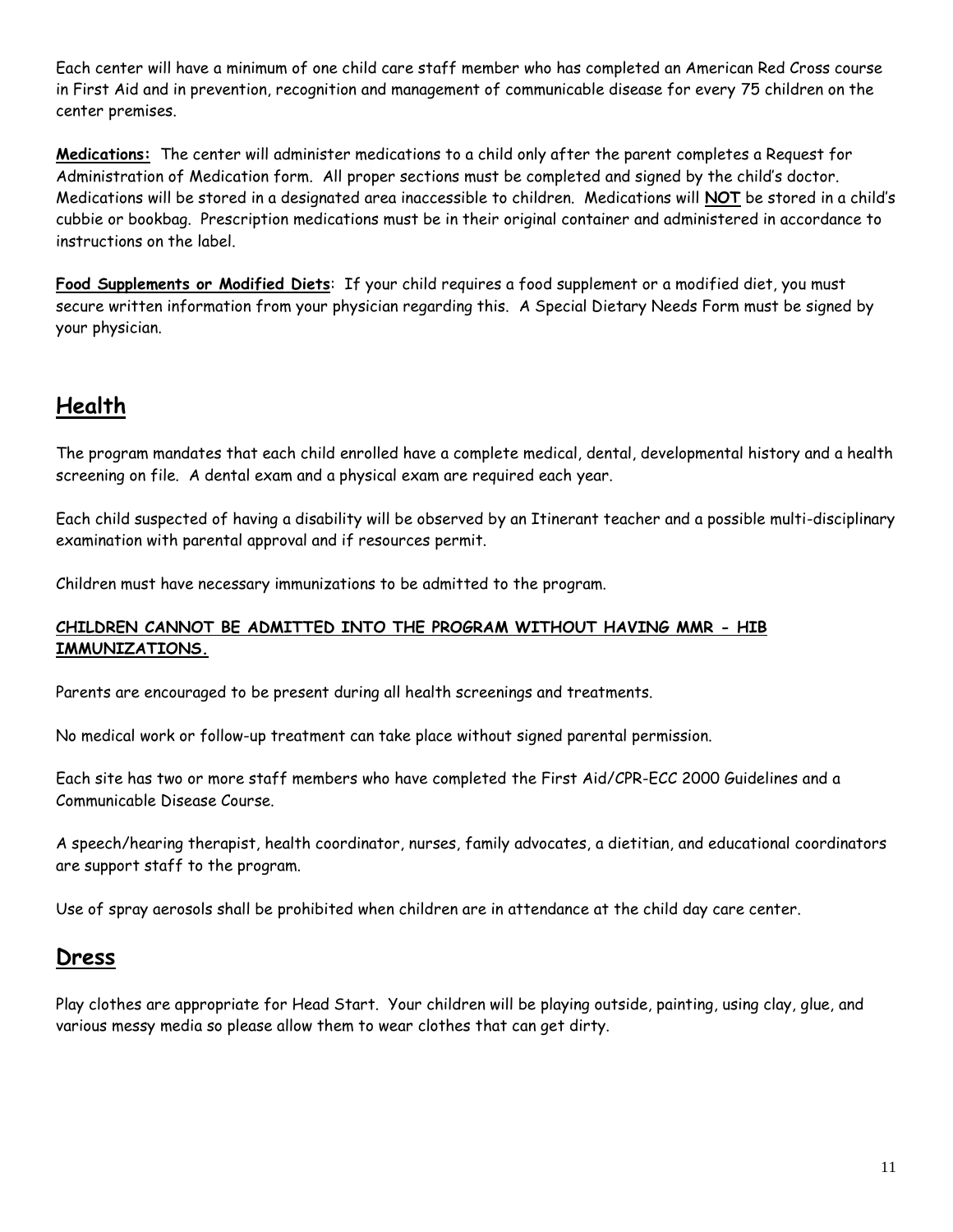Each center will have a minimum of one child care staff member who has completed an American Red Cross course in First Aid and in prevention, recognition and management of communicable disease for every 75 children on the center premises.

**Medications:** The center will administer medications to a child only after the parent completes a Request for Administration of Medication form. All proper sections must be completed and signed by the child's doctor. Medications will be stored in a designated area inaccessible to children. Medications will **NOT** be stored in a child's cubbie or bookbag. Prescription medications must be in their original container and administered in accordance to instructions on the label.

**Food Supplements or Modified Diets**: If your child requires a food supplement or a modified diet, you must secure written information from your physician regarding this. A Special Dietary Needs Form must be signed by your physician.

#### **Health**

The program mandates that each child enrolled have a complete medical, dental, developmental history and a health screening on file. A dental exam and a physical exam are required each year.

Each child suspected of having a disability will be observed by an Itinerant teacher and a possible multi-disciplinary examination with parental approval and if resources permit.

Children must have necessary immunizations to be admitted to the program.

#### **CHILDREN CANNOT BE ADMITTED INTO THE PROGRAM WITHOUT HAVING MMR - HIB IMMUNIZATIONS.**

Parents are encouraged to be present during all health screenings and treatments.

No medical work or follow-up treatment can take place without signed parental permission.

Each site has two or more staff members who have completed the First Aid/CPR-ECC 2000 Guidelines and a Communicable Disease Course.

A speech/hearing therapist, health coordinator, nurses, family advocates, a dietitian, and educational coordinators are support staff to the program.

Use of spray aerosols shall be prohibited when children are in attendance at the child day care center.

#### **Dress**

Play clothes are appropriate for Head Start. Your children will be playing outside, painting, using clay, glue, and various messy media so please allow them to wear clothes that can get dirty.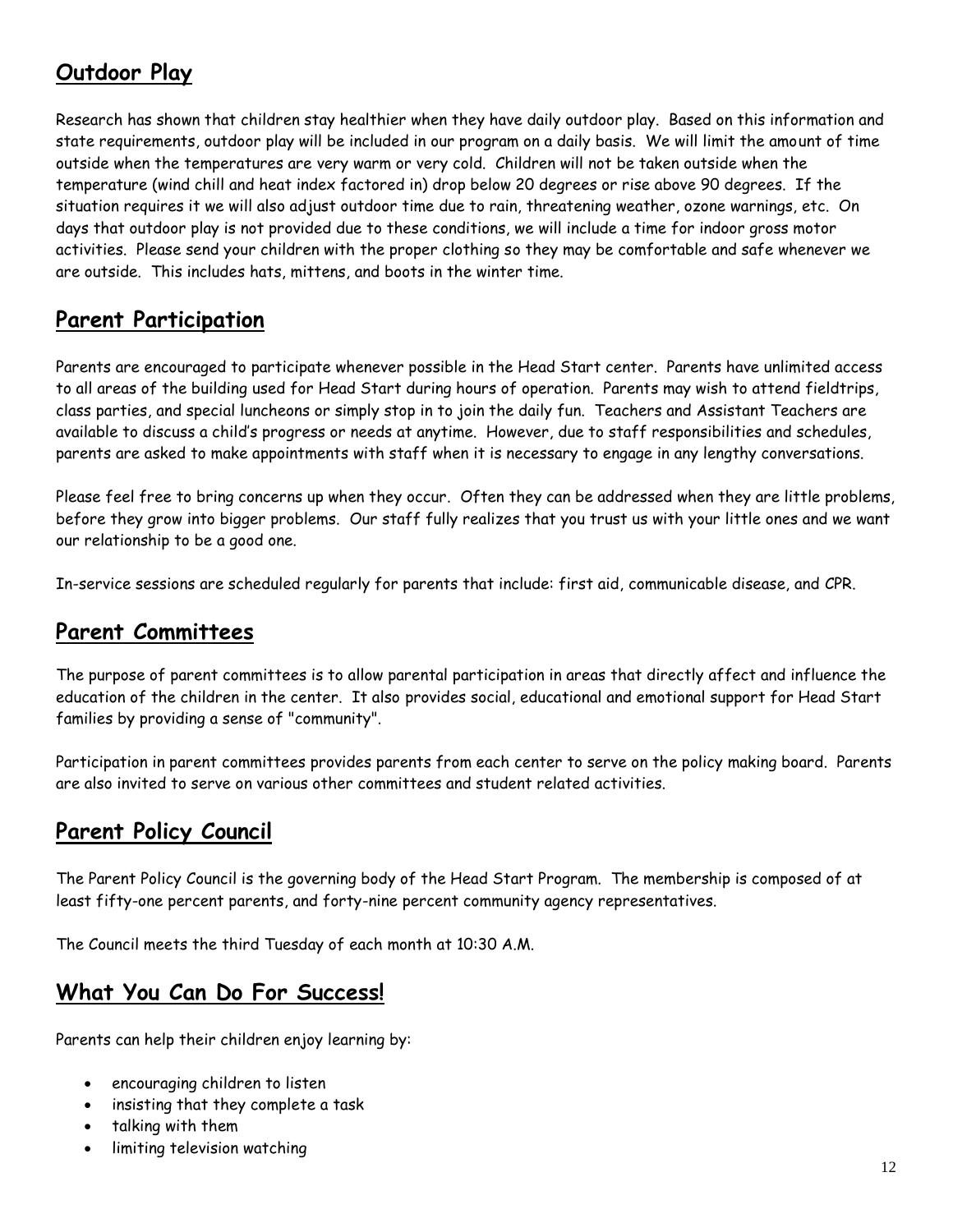# **Outdoor Play**

Research has shown that children stay healthier when they have daily outdoor play. Based on this information and state requirements, outdoor play will be included in our program on a daily basis. We will limit the amount of time outside when the temperatures are very warm or very cold. Children will not be taken outside when the temperature (wind chill and heat index factored in) drop below 20 degrees or rise above 90 degrees. If the situation requires it we will also adjust outdoor time due to rain, threatening weather, ozone warnings, etc. On days that outdoor play is not provided due to these conditions, we will include a time for indoor gross motor activities. Please send your children with the proper clothing so they may be comfortable and safe whenever we are outside. This includes hats, mittens, and boots in the winter time.

#### **Parent Participation**

Parents are encouraged to participate whenever possible in the Head Start center. Parents have unlimited access to all areas of the building used for Head Start during hours of operation. Parents may wish to attend fieldtrips, class parties, and special luncheons or simply stop in to join the daily fun. Teachers and Assistant Teachers are available to discuss a child's progress or needs at anytime. However, due to staff responsibilities and schedules, parents are asked to make appointments with staff when it is necessary to engage in any lengthy conversations.

Please feel free to bring concerns up when they occur. Often they can be addressed when they are little problems, before they grow into bigger problems. Our staff fully realizes that you trust us with your little ones and we want our relationship to be a good one.

In-service sessions are scheduled regularly for parents that include: first aid, communicable disease, and CPR.

#### **Parent Committees**

The purpose of parent committees is to allow parental participation in areas that directly affect and influence the education of the children in the center. It also provides social, educational and emotional support for Head Start families by providing a sense of "community".

Participation in parent committees provides parents from each center to serve on the policy making board. Parents are also invited to serve on various other committees and student related activities.

#### **Parent Policy Council**

The Parent Policy Council is the governing body of the Head Start Program. The membership is composed of at least fifty-one percent parents, and forty-nine percent community agency representatives.

The Council meets the third Tuesday of each month at 10:30 A.M.

#### **What You Can Do For Success!**

Parents can help their children enjoy learning by:

- encouraging children to listen
- insisting that they complete a task
- talking with them
- limiting television watching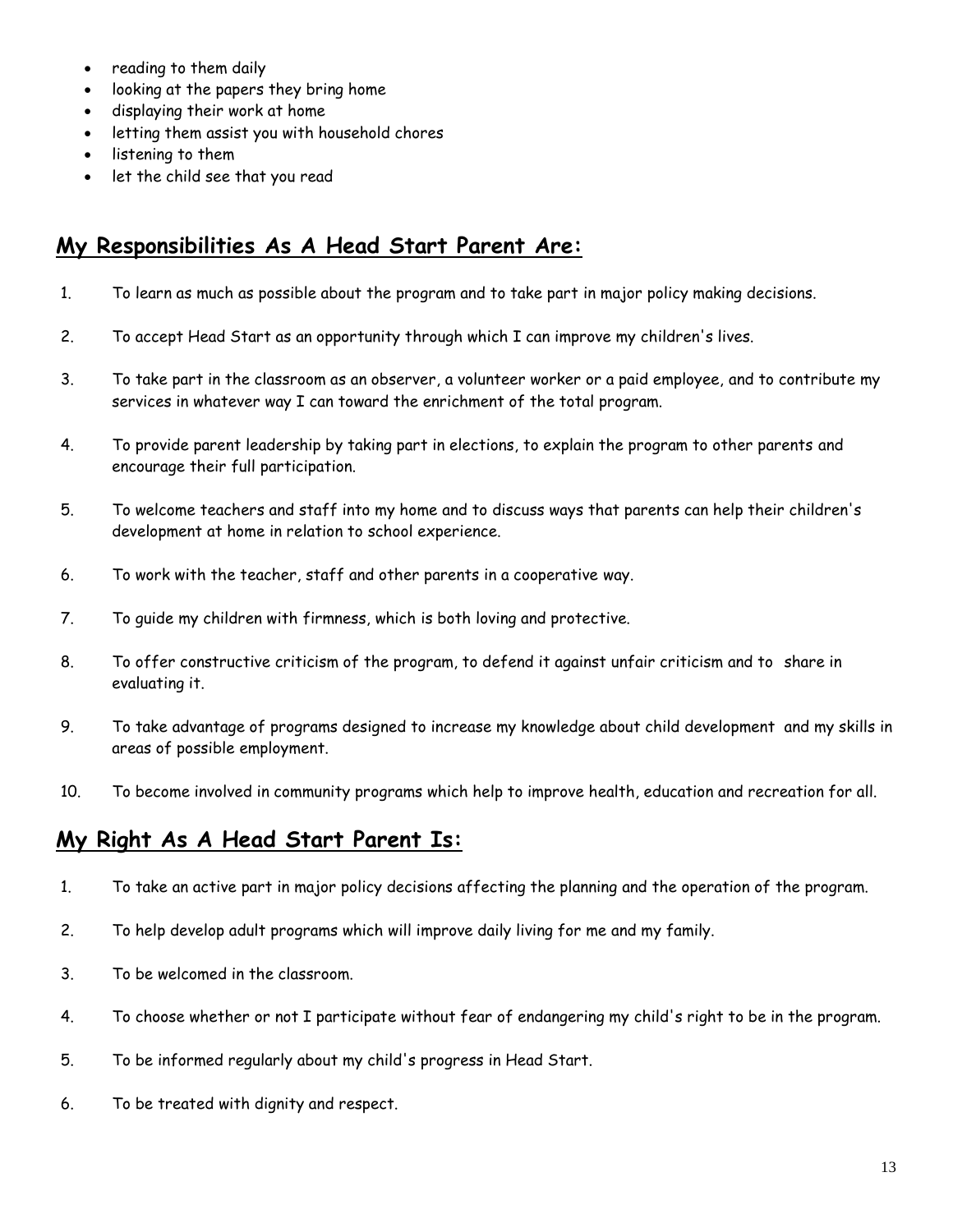- reading to them daily
- looking at the papers they bring home
- displaying their work at home
- letting them assist you with household chores
- listening to them
- let the child see that you read

#### **My Responsibilities As A Head Start Parent Are:**

- 1. To learn as much as possible about the program and to take part in major policy making decisions.
- 2. To accept Head Start as an opportunity through which I can improve my children's lives.
- 3. To take part in the classroom as an observer, a volunteer worker or a paid employee, and to contribute my services in whatever way I can toward the enrichment of the total program.
- 4. To provide parent leadership by taking part in elections, to explain the program to other parents and encourage their full participation.
- 5. To welcome teachers and staff into my home and to discuss ways that parents can help their children's development at home in relation to school experience.
- 6. To work with the teacher, staff and other parents in a cooperative way.
- 7. To guide my children with firmness, which is both loving and protective.
- 8. To offer constructive criticism of the program, to defend it against unfair criticism and to share in evaluating it.
- 9. To take advantage of programs designed to increase my knowledge about child development and my skills in areas of possible employment.
- 10. To become involved in community programs which help to improve health, education and recreation for all.

#### **My Right As A Head Start Parent Is:**

- 1. To take an active part in major policy decisions affecting the planning and the operation of the program.
- 2. To help develop adult programs which will improve daily living for me and my family.
- 3. To be welcomed in the classroom.
- 4. To choose whether or not I participate without fear of endangering my child's right to be in the program.
- 5. To be informed regularly about my child's progress in Head Start.
- 6. To be treated with dignity and respect.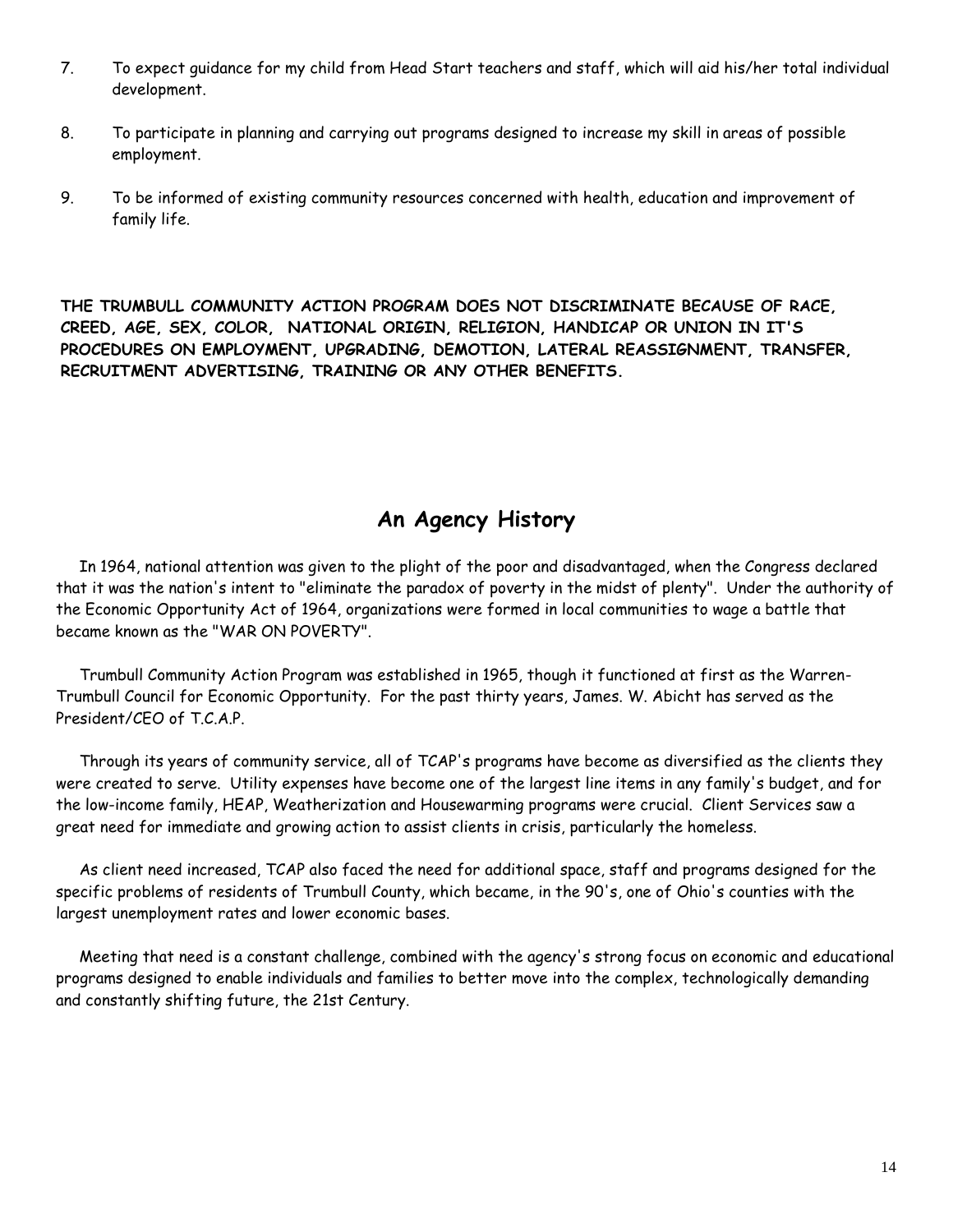- 7. To expect guidance for my child from Head Start teachers and staff, which will aid his/her total individual development.
- 8. To participate in planning and carrying out programs designed to increase my skill in areas of possible employment.
- 9. To be informed of existing community resources concerned with health, education and improvement of family life.

**THE TRUMBULL COMMUNITY ACTION PROGRAM DOES NOT DISCRIMINATE BECAUSE OF RACE, CREED, AGE, SEX, COLOR, NATIONAL ORIGIN, RELIGION, HANDICAP OR UNION IN IT'S PROCEDURES ON EMPLOYMENT, UPGRADING, DEMOTION, LATERAL REASSIGNMENT, TRANSFER, RECRUITMENT ADVERTISING, TRAINING OR ANY OTHER BENEFITS.** 

#### **An Agency History**

 In 1964, national attention was given to the plight of the poor and disadvantaged, when the Congress declared that it was the nation's intent to "eliminate the paradox of poverty in the midst of plenty". Under the authority of the Economic Opportunity Act of 1964, organizations were formed in local communities to wage a battle that became known as the "WAR ON POVERTY".

 Trumbull Community Action Program was established in 1965, though it functioned at first as the Warren-Trumbull Council for Economic Opportunity. For the past thirty years, James. W. Abicht has served as the President/CEO of T.C.A.P.

 Through its years of community service, all of TCAP's programs have become as diversified as the clients they were created to serve. Utility expenses have become one of the largest line items in any family's budget, and for the low-income family, HEAP, Weatherization and Housewarming programs were crucial. Client Services saw a great need for immediate and growing action to assist clients in crisis, particularly the homeless.

 As client need increased, TCAP also faced the need for additional space, staff and programs designed for the specific problems of residents of Trumbull County, which became, in the 90's, one of Ohio's counties with the largest unemployment rates and lower economic bases.

 Meeting that need is a constant challenge, combined with the agency's strong focus on economic and educational programs designed to enable individuals and families to better move into the complex, technologically demanding and constantly shifting future, the 21st Century.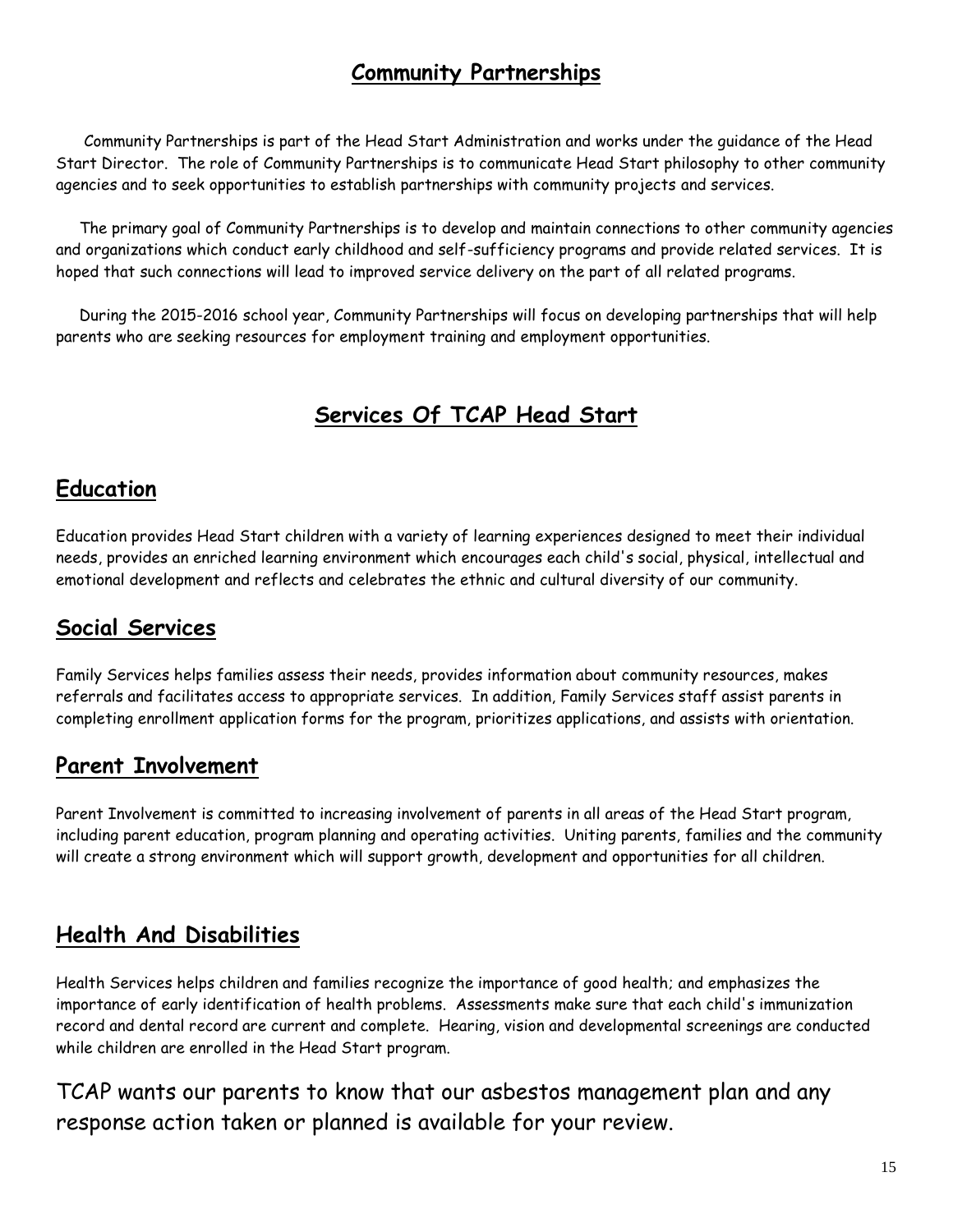## **Community Partnerships**

 Community Partnerships is part of the Head Start Administration and works under the guidance of the Head Start Director. The role of Community Partnerships is to communicate Head Start philosophy to other community agencies and to seek opportunities to establish partnerships with community projects and services.

 The primary goal of Community Partnerships is to develop and maintain connections to other community agencies and organizations which conduct early childhood and self-sufficiency programs and provide related services. It is hoped that such connections will lead to improved service delivery on the part of all related programs.

 During the 2015-2016 school year, Community Partnerships will focus on developing partnerships that will help parents who are seeking resources for employment training and employment opportunities.

# **Services Of TCAP Head Start**

#### **Education**

Education provides Head Start children with a variety of learning experiences designed to meet their individual needs, provides an enriched learning environment which encourages each child's social, physical, intellectual and emotional development and reflects and celebrates the ethnic and cultural diversity of our community.

### **Social Services**

Family Services helps families assess their needs, provides information about community resources, makes referrals and facilitates access to appropriate services. In addition, Family Services staff assist parents in completing enrollment application forms for the program, prioritizes applications, and assists with orientation.

#### **Parent Involvement**

Parent Involvement is committed to increasing involvement of parents in all areas of the Head Start program, including parent education, program planning and operating activities. Uniting parents, families and the community will create a strong environment which will support growth, development and opportunities for all children.

#### **Health And Disabilities**

Health Services helps children and families recognize the importance of good health; and emphasizes the importance of early identification of health problems. Assessments make sure that each child's immunization record and dental record are current and complete. Hearing, vision and developmental screenings are conducted while children are enrolled in the Head Start program.

TCAP wants our parents to know that our asbestos management plan and any response action taken or planned is available for your review.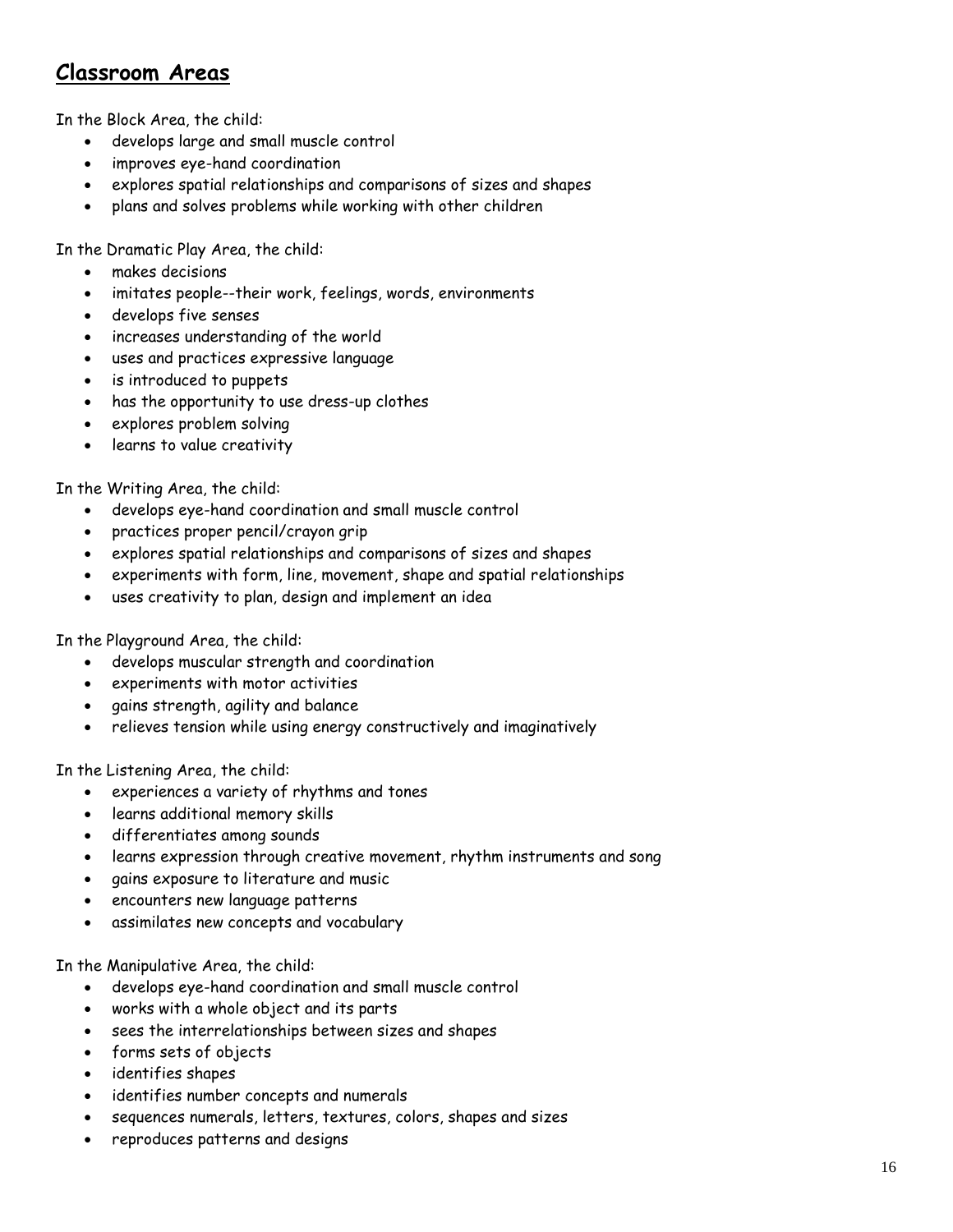#### **Classroom Areas**

In the Block Area, the child:

- develops large and small muscle control
- improves eye-hand coordination
- explores spatial relationships and comparisons of sizes and shapes
- plans and solves problems while working with other children

In the Dramatic Play Area, the child:

- makes decisions
- imitates people--their work, feelings, words, environments
- develops five senses
- increases understanding of the world
- uses and practices expressive language
- is introduced to puppets
- has the opportunity to use dress-up clothes
- explores problem solving
- learns to value creativity

In the Writing Area, the child:

- develops eye-hand coordination and small muscle control
- practices proper pencil/crayon grip
- explores spatial relationships and comparisons of sizes and shapes
- experiments with form, line, movement, shape and spatial relationships
- uses creativity to plan, design and implement an idea

In the Playground Area, the child:

- develops muscular strength and coordination
- experiments with motor activities
- gains strength, agility and balance
- relieves tension while using energy constructively and imaginatively

In the Listening Area, the child:

- experiences a variety of rhythms and tones
- learns additional memory skills
- differentiates among sounds
- learns expression through creative movement, rhythm instruments and song
- gains exposure to literature and music
- encounters new language patterns
- assimilates new concepts and vocabulary

In the Manipulative Area, the child:

- develops eye-hand coordination and small muscle control
- works with a whole object and its parts
- sees the interrelationships between sizes and shapes
- forms sets of objects
- identifies shapes
- identifies number concepts and numerals
- sequences numerals, letters, textures, colors, shapes and sizes
- reproduces patterns and designs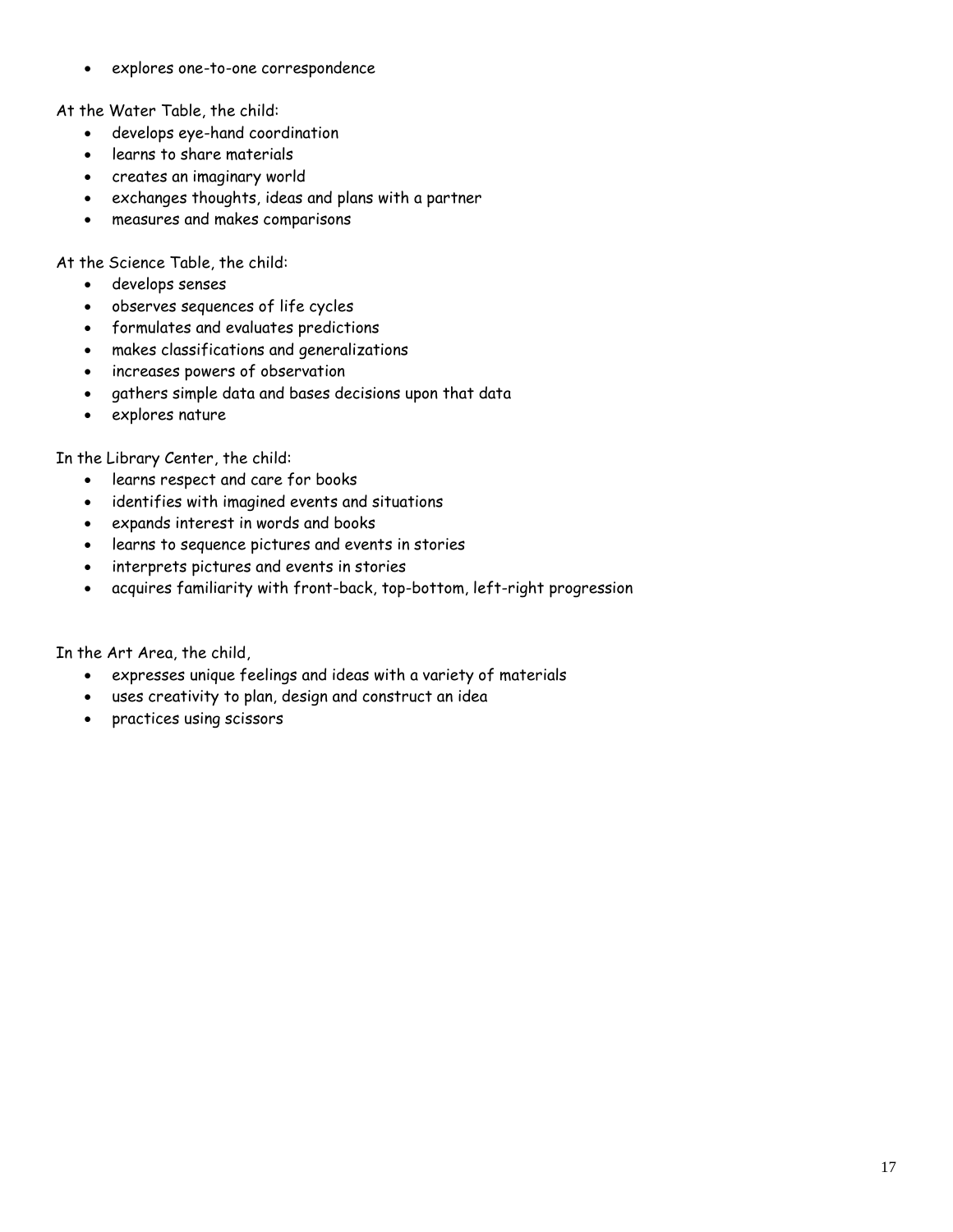explores one-to-one correspondence

At the Water Table, the child:

- develops eye-hand coordination
- learns to share materials
- creates an imaginary world
- exchanges thoughts, ideas and plans with a partner
- measures and makes comparisons

At the Science Table, the child:

- develops senses
- observes sequences of life cycles
- formulates and evaluates predictions
- makes classifications and generalizations
- increases powers of observation
- gathers simple data and bases decisions upon that data
- explores nature

In the Library Center, the child:

- learns respect and care for books
- identifies with imagined events and situations
- expands interest in words and books
- learns to sequence pictures and events in stories
- interprets pictures and events in stories
- acquires familiarity with front-back, top-bottom, left-right progression

In the Art Area, the child,

- expresses unique feelings and ideas with a variety of materials
- uses creativity to plan, design and construct an idea
- practices using scissors